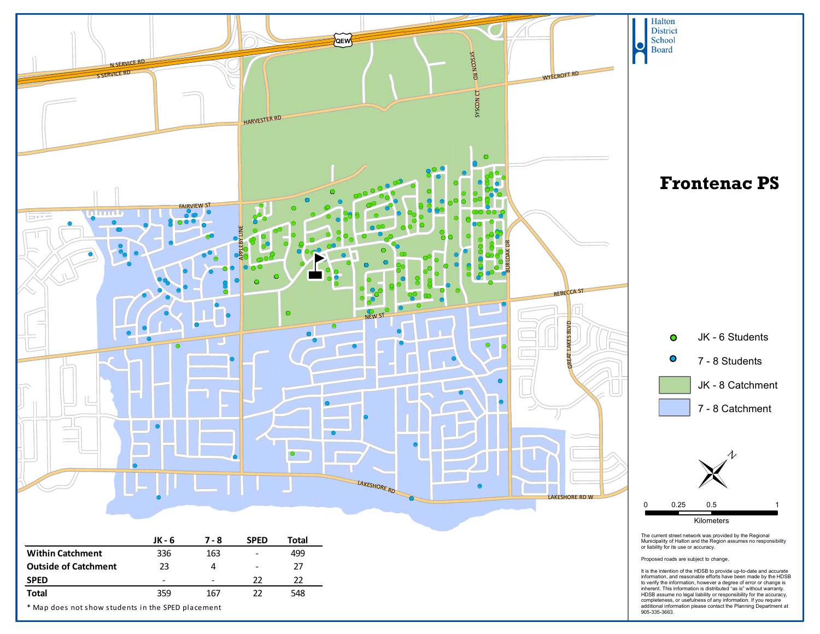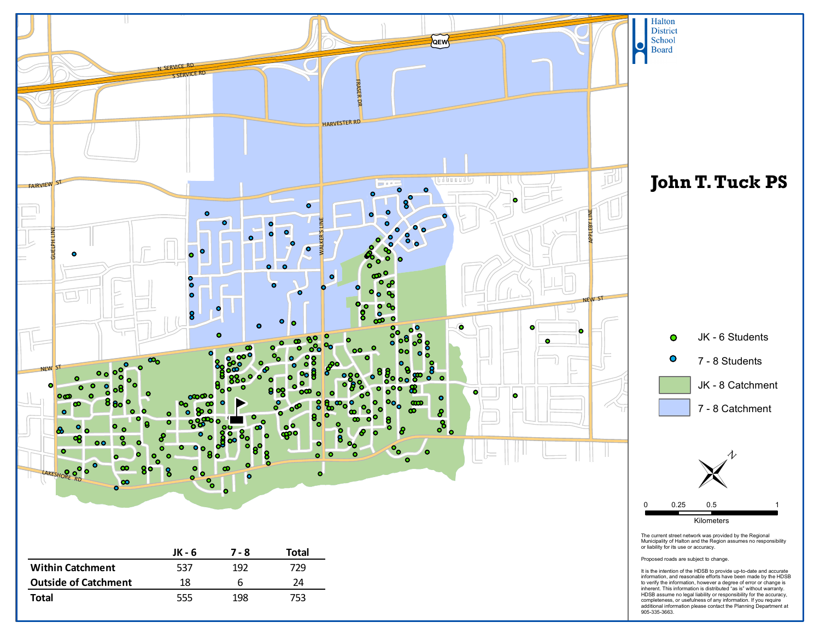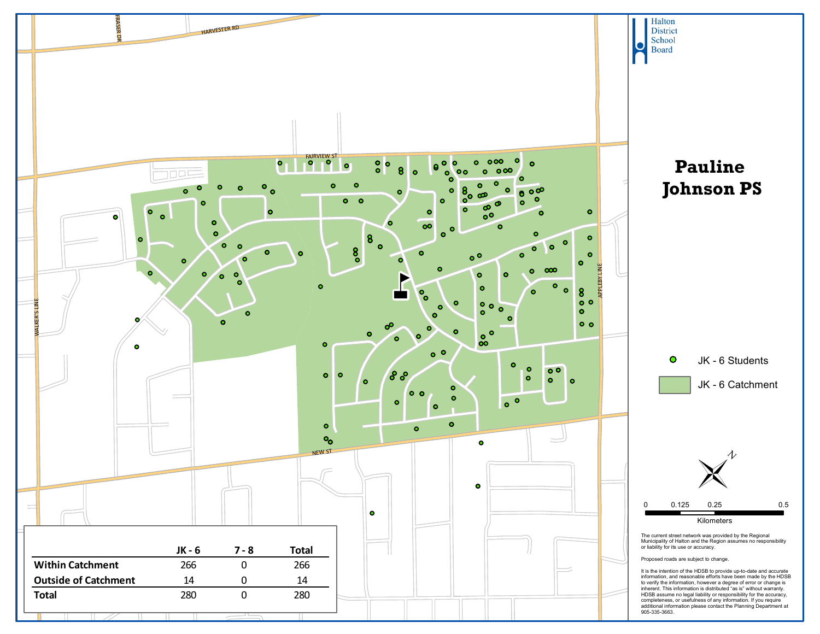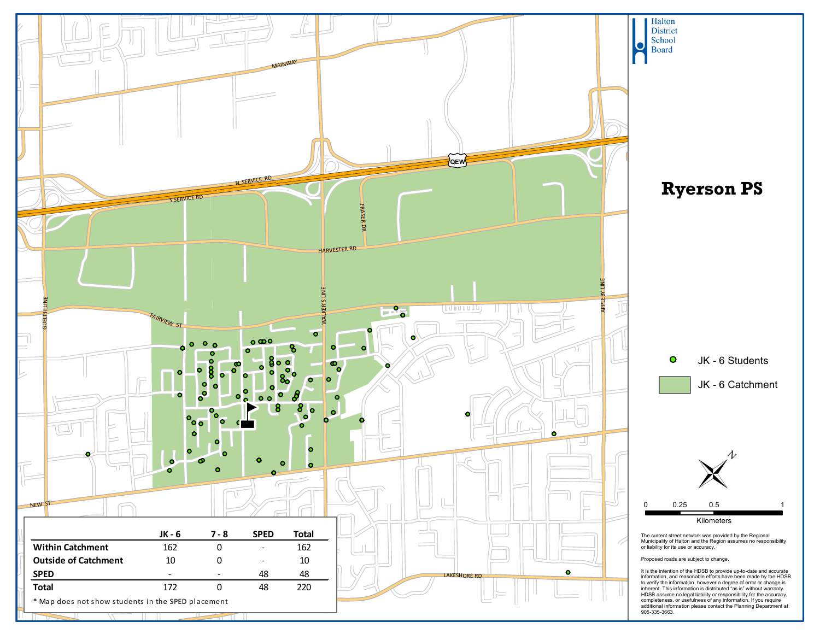